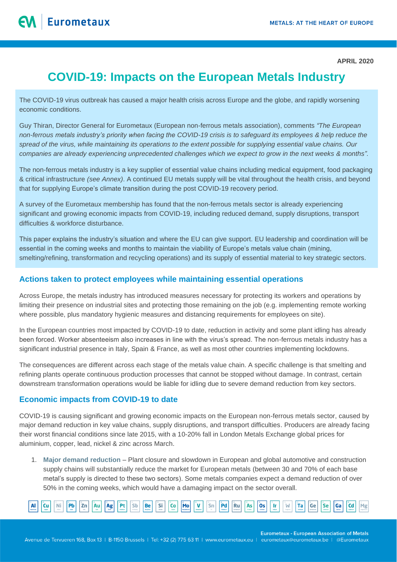**APRIL 2020**

# **COVID-19: Impacts on the European Metals Industry**

The COVID-19 virus outbreak has caused a major health crisis across Europe and the globe, and rapidly worsening economic conditions.

Guy Thiran, Director General for Eurometaux (European non-ferrous metals association), comments *"The European non-ferrous metals industry's priority when facing the COVID-19 crisis is to safeguard its employees & help reduce the spread of the virus, while maintaining its operations to the extent possible for supplying essential value chains. Our companies are already experiencing unprecedented challenges which we expect to grow in the next weeks & months".*

The non-ferrous metals industry is a key supplier of essential value chains including medical equipment, food packaging & critical infrastructure *(see Annex)*. A continued EU metals supply will be vital throughout the health crisis, and beyond that for supplying Europe's climate transition during the post COVID-19 recovery period.

A survey of the Eurometaux membership has found that the non-ferrous metals sector is already experiencing significant and growing economic impacts from COVID-19, including reduced demand, supply disruptions, transport difficulties & workforce disturbance.

This paper explains the industry's situation and where the EU can give support. EU leadership and coordination will be essential in the coming weeks and months to maintain the viability of Europe's metals value chain (mining, smelting/refining, transformation and recycling operations) and its supply of essential material to key strategic sectors.

# **Actions taken to protect employees while maintaining essential operations**

Across Europe, the metals industry has introduced measures necessary for protecting its workers and operations by limiting their presence on industrial sites and protecting those remaining on the job (e.g. implementing remote working where possible, plus mandatory hygienic measures and distancing requirements for employees on site).

In the European countries most impacted by COVID-19 to date, reduction in activity and some plant idling has already been forced. Worker absenteeism also increases in line with the virus's spread. The non-ferrous metals industry has a significant industrial presence in Italy, Spain & France, as well as most other countries implementing lockdowns.

The consequences are different across each stage of the metals value chain. A specific challenge is that smelting and refining plants operate continuous production processes that cannot be stopped without damage. In contrast, certain downstream transformation operations would be liable for idling due to severe demand reduction from key sectors.

# **Economic impacts from COVID-19 to date**

COVID-19 is causing significant and growing economic impacts on the European non-ferrous metals sector, caused by major demand reduction in key value chains, supply disruptions, and transport difficulties. Producers are already facing their worst financial conditions since late 2015, with a 10-20% fall in London Metals Exchange global prices for aluminium, copper, lead, nickel & zinc across March.

1. **Major demand reduction** – Plant closure and slowdown in European and global automotive and construction supply chains will substantially reduce the market for European metals (between 30 and 70% of each base metal's supply is directed to these two sectors). Some metals companies expect a demand reduction of over 50% in the coming weeks, which would have a damaging impact on the sector overall.



**Eurometaux - European Association of Metals** 

Avenue de Tervueren 168, Box 13 | B-1150 Brussels | Tel: +32 (2) 775 63 11 | www.eurometaux.eu | eurometaux@eurometaux.be | @Eurometaux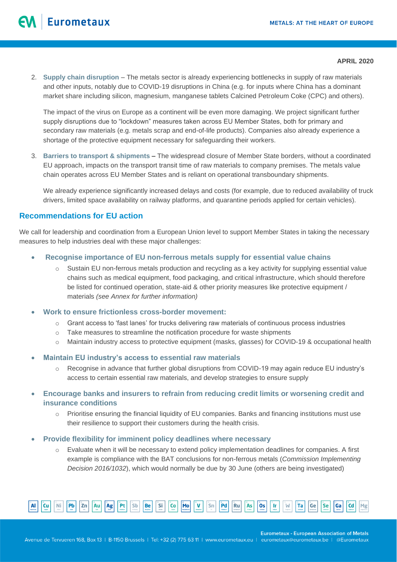### **APRIL 2020**

2. **Supply chain disruption** – The metals sector is already experiencing bottlenecks in supply of raw materials and other inputs, notably due to COVID-19 disruptions in China (e.g. for inputs where China has a dominant market share including silicon, magnesium, manganese tablets Calcined Petroleum Coke (CPC) and others).

The impact of the virus on Europe as a continent will be even more damaging. We project significant further supply disruptions due to "lockdown" measures taken across EU Member States, both for primary and secondary raw materials (e.g. metals scrap and end-of-life products). Companies also already experience a shortage of the protective equipment necessary for safeguarding their workers.

3. **Barriers to transport & shipments –** The widespread closure of Member State borders, without a coordinated EU approach, impacts on the transport transit time of raw materials to company premises. The metals value chain operates across EU Member States and is reliant on operational transboundary shipments.

We already experience significantly increased delays and costs (for example, due to reduced availability of truck drivers, limited space availability on railway platforms, and quarantine periods applied for certain vehicles).

# **Recommendations for EU action**

We call for leadership and coordination from a European Union level to support Member States in taking the necessary measures to help industries deal with these major challenges:

- **Recognise importance of EU non-ferrous metals supply for essential value chains** 
	- o Sustain EU non-ferrous metals production and recycling as a key activity for supplying essential value chains such as medical equipment, food packaging, and critical infrastructure, which should therefore be listed for continued operation, state-aid & other priority measures like protective equipment / materials *(see Annex for further information)*
- **Work to ensure frictionless cross-border movement:** 
	- o Grant access to 'fast lanes' for trucks delivering raw materials of continuous process industries
	- $\circ$  Take measures to streamline the notification procedure for waste shipments
	- o Maintain industry access to protective equipment (masks, glasses) for COVID-19 & occupational health
- **Maintain EU industry's access to essential raw materials** 
	- o Recognise in advance that further global disruptions from COVID-19 may again reduce EU industry's access to certain essential raw materials, and develop strategies to ensure supply
- **Encourage banks and insurers to refrain from reducing credit limits or worsening credit and insurance conditions** 
	- $\circ$  Prioritise ensuring the financial liquidity of EU companies. Banks and financing institutions must use their resilience to support their customers during the health crisis.
- **Provide flexibility for imminent policy deadlines where necessary** 
	- o Evaluate when it will be necessary to extend policy implementation deadlines for companies. A first example is compliance with the BAT conclusions for non-ferrous metals (*Commission Implementing Decision 2016/1032*), which would normally be due by 30 June (others are being investigated)



**Eurometaux - European Association of Metals**